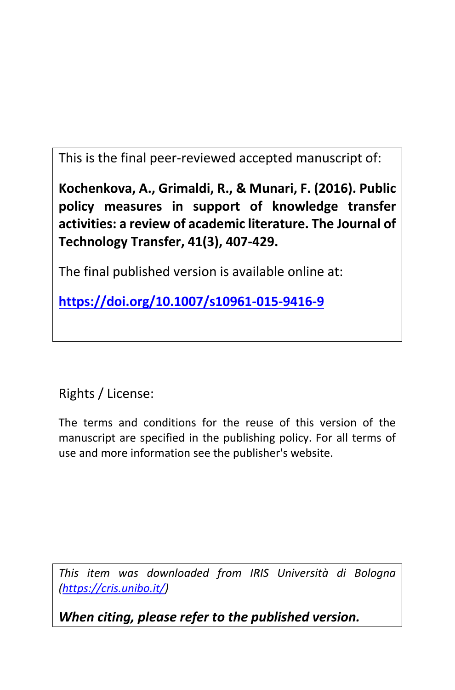This is the final peer-reviewed accepted manuscript of:

**Kochenkova, A., Grimaldi, R., & Munari, F. (2016). Public policy measures in support of knowledge transfer activities: a review of academic literature. The Journal of Technology Transfer, 41(3), 407-429.**

The final published version is available online at:

**https://doi.org/10.1007/s10961-015-9416-9**

Rights / License:

The terms and conditions for the reuse of this version of the manuscript are specified in the publishing policy. For all terms of use and more information see the publisher's website.

*This item was downloaded from IRIS Università di Bologna (https://cris.unibo.it/)*

*When citing, please refer to the published version.*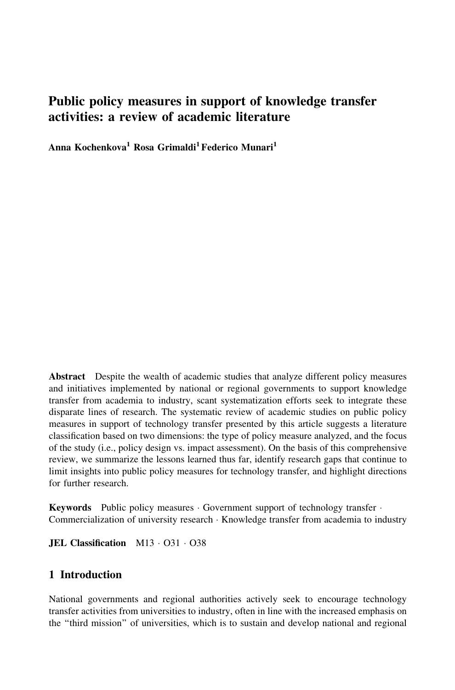# Public policy measures in support of knowledge transfer activities: a review of academic literature

Anna Kochenkova<sup>1</sup> Rosa Grimaldi<sup>1</sup> Federico Munari<sup>1</sup>

Abstract Despite the wealth of academic studies that analyze different policy measures and initiatives implemented by national or regional governments to support knowledge transfer from academia to industry, scant systematization efforts seek to integrate these disparate lines of research. The systematic review of academic studies on public policy measures in support of technology transfer presented by this article suggests a literature classification based on two dimensions: the type of policy measure analyzed, and the focus of the study (i.e., policy design vs. impact assessment). On the basis of this comprehensive review, we summarize the lessons learned thus far, identify research gaps that continue to limit insights into public policy measures for technology transfer, and highlight directions for further research.

Keywords Public policy measures · Government support of technology transfer · Commercialization of university research - Knowledge transfer from academia to industry

**JEL Classification** M13 · O31 · O38

## 1 Introduction

National governments and regional authorities actively seek to encourage technology transfer activities from universities to industry, often in line with the increased emphasis on the ''third mission'' of universities, which is to sustain and develop national and regional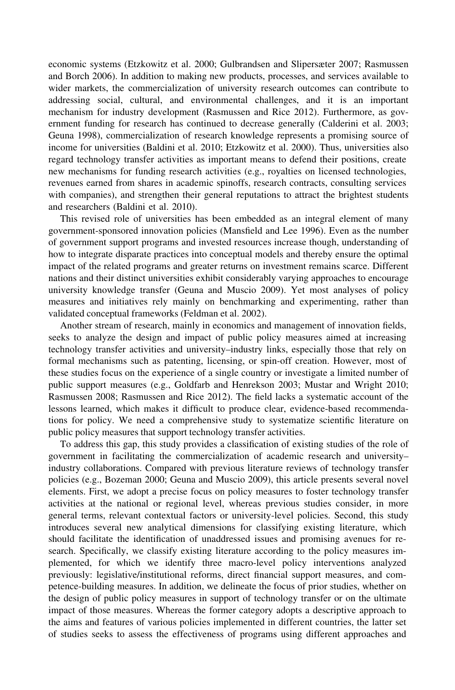economic systems (Etzkowitz et al. 2000; Gulbrandsen and Slipersæter 2007; Rasmussen and Borch 2006). In addition to making new products, processes, and services available to wider markets, the commercialization of university research outcomes can contribute to addressing social, cultural, and environmental challenges, and it is an important mechanism for industry development (Rasmussen and Rice 2012). Furthermore, as government funding for research has continued to decrease generally (Calderini et al. 2003; Geuna 1998), commercialization of research knowledge represents a promising source of income for universities (Baldini et al. 2010; Etzkowitz et al. 2000). Thus, universities also regard technology transfer activities as important means to defend their positions, create new mechanisms for funding research activities (e.g., royalties on licensed technologies, revenues earned from shares in academic spinoffs, research contracts, consulting services with companies), and strengthen their general reputations to attract the brightest students and researchers (Baldini et al. 2010).

This revised role of universities has been embedded as an integral element of many government-sponsored innovation policies (Mansfield and Lee 1996). Even as the number of government support programs and invested resources increase though, understanding of how to integrate disparate practices into conceptual models and thereby ensure the optimal impact of the related programs and greater returns on investment remains scarce. Different nations and their distinct universities exhibit considerably varying approaches to encourage university knowledge transfer (Geuna and Muscio 2009). Yet most analyses of policy measures and initiatives rely mainly on benchmarking and experimenting, rather than validated conceptual frameworks (Feldman et al. 2002).

Another stream of research, mainly in economics and management of innovation fields, seeks to analyze the design and impact of public policy measures aimed at increasing technology transfer activities and university–industry links, especially those that rely on formal mechanisms such as patenting, licensing, or spin-off creation. However, most of these studies focus on the experience of a single country or investigate a limited number of public support measures (e.g., Goldfarb and Henrekson 2003; Mustar and Wright 2010; Rasmussen 2008; Rasmussen and Rice 2012). The field lacks a systematic account of the lessons learned, which makes it difficult to produce clear, evidence-based recommendations for policy. We need a comprehensive study to systematize scientific literature on public policy measures that support technology transfer activities.

To address this gap, this study provides a classification of existing studies of the role of government in facilitating the commercialization of academic research and university– industry collaborations. Compared with previous literature reviews of technology transfer policies (e.g., Bozeman 2000; Geuna and Muscio 2009), this article presents several novel elements. First, we adopt a precise focus on policy measures to foster technology transfer activities at the national or regional level, whereas previous studies consider, in more general terms, relevant contextual factors or university-level policies. Second, this study introduces several new analytical dimensions for classifying existing literature, which should facilitate the identification of unaddressed issues and promising avenues for research. Specifically, we classify existing literature according to the policy measures implemented, for which we identify three macro-level policy interventions analyzed previously: legislative/institutional reforms, direct financial support measures, and competence-building measures. In addition, we delineate the focus of prior studies, whether on the design of public policy measures in support of technology transfer or on the ultimate impact of those measures. Whereas the former category adopts a descriptive approach to the aims and features of various policies implemented in different countries, the latter set of studies seeks to assess the effectiveness of programs using different approaches and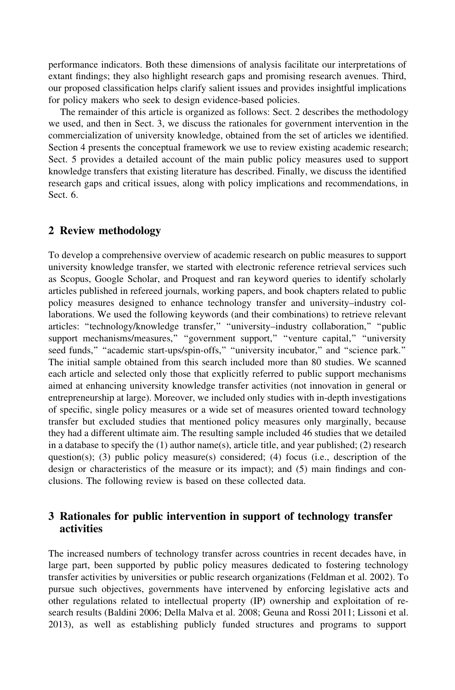performance indicators. Both these dimensions of analysis facilitate our interpretations of extant findings; they also highlight research gaps and promising research avenues. Third, our proposed classification helps clarify salient issues and provides insightful implications for policy makers who seek to design evidence-based policies.

The remainder of this article is organized as follows: Sect. 2 describes the methodology we used, and then in Sect. 3, we discuss the rationales for government intervention in the commercialization of university knowledge, obtained from the set of articles we identified. Section 4 presents the conceptual framework we use to review existing academic research; Sect. 5 provides a detailed account of the main public policy measures used to support knowledge transfers that existing literature has described. Finally, we discuss the identified research gaps and critical issues, along with policy implications and recommendations, in Sect. 6.

## 2 Review methodology

To develop a comprehensive overview of academic research on public measures to support university knowledge transfer, we started with electronic reference retrieval services such as Scopus, Google Scholar, and Proquest and ran keyword queries to identify scholarly articles published in refereed journals, working papers, and book chapters related to public policy measures designed to enhance technology transfer and university–industry collaborations. We used the following keywords (and their combinations) to retrieve relevant articles: ''technology/knowledge transfer,'' ''university–industry collaboration,'' ''public support mechanisms/measures," "government support," "venture capital," "university seed funds," "academic start-ups/spin-offs," "university incubator," and "science park." The initial sample obtained from this search included more than 80 studies. We scanned each article and selected only those that explicitly referred to public support mechanisms aimed at enhancing university knowledge transfer activities (not innovation in general or entrepreneurship at large). Moreover, we included only studies with in-depth investigations of specific, single policy measures or a wide set of measures oriented toward technology transfer but excluded studies that mentioned policy measures only marginally, because they had a different ultimate aim. The resulting sample included 46 studies that we detailed in a database to specify the (1) author name(s), article title, and year published; (2) research question(s); (3) public policy measure(s) considered; (4) focus (i.e., description of the design or characteristics of the measure or its impact); and (5) main findings and conclusions. The following review is based on these collected data.

## 3 Rationales for public intervention in support of technology transfer activities

The increased numbers of technology transfer across countries in recent decades have, in large part, been supported by public policy measures dedicated to fostering technology transfer activities by universities or public research organizations (Feldman et al. 2002). To pursue such objectives, governments have intervened by enforcing legislative acts and other regulations related to intellectual property (IP) ownership and exploitation of research results (Baldini 2006; Della Malva et al. 2008; Geuna and Rossi 2011; Lissoni et al. 2013), as well as establishing publicly funded structures and programs to support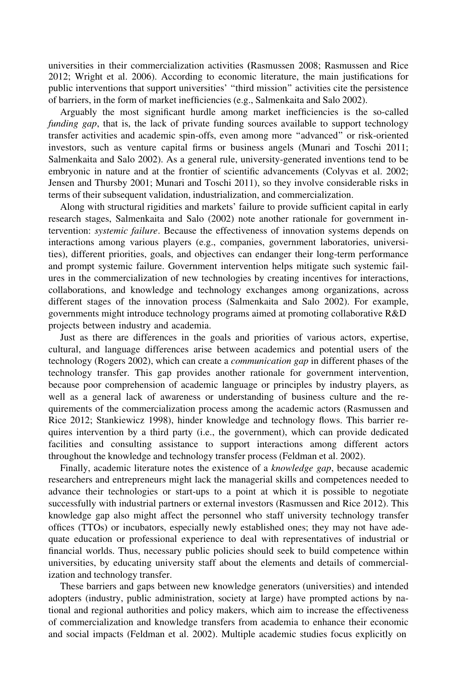universities in their commercialization activities (Rasmussen 2008; Rasmussen and Rice 2012; Wright et al. 2006). According to economic literature, the main justifications for public interventions that support universities' ''third mission'' activities cite the persistence of barriers, in the form of market inefficiencies (e.g., Salmenkaita and Salo 2002).

Arguably the most significant hurdle among market inefficiencies is the so-called funding gap, that is, the lack of private funding sources available to support technology transfer activities and academic spin-offs, even among more ''advanced'' or risk-oriented investors, such as venture capital firms or business angels (Munari and Toschi 2011; Salmenkaita and Salo 2002). As a general rule, university-generated inventions tend to be embryonic in nature and at the frontier of scientific advancements (Colyvas et al. 2002; Jensen and Thursby 2001; Munari and Toschi 2011), so they involve considerable risks in terms of their subsequent validation, industrialization, and commercialization.

Along with structural rigidities and markets' failure to provide sufficient capital in early research stages, Salmenkaita and Salo (2002) note another rationale for government intervention: systemic failure. Because the effectiveness of innovation systems depends on interactions among various players (e.g., companies, government laboratories, universities), different priorities, goals, and objectives can endanger their long-term performance and prompt systemic failure. Government intervention helps mitigate such systemic failures in the commercialization of new technologies by creating incentives for interactions, collaborations, and knowledge and technology exchanges among organizations, across different stages of the innovation process (Salmenkaita and Salo 2002). For example, governments might introduce technology programs aimed at promoting collaborative R&D projects between industry and academia.

Just as there are differences in the goals and priorities of various actors, expertise, cultural, and language differences arise between academics and potential users of the technology (Rogers 2002), which can create a *communication gap* in different phases of the technology transfer. This gap provides another rationale for government intervention, because poor comprehension of academic language or principles by industry players, as well as a general lack of awareness or understanding of business culture and the requirements of the commercialization process among the academic actors (Rasmussen and Rice 2012; Stankiewicz 1998), hinder knowledge and technology flows. This barrier requires intervention by a third party (i.e., the government), which can provide dedicated facilities and consulting assistance to support interactions among different actors throughout the knowledge and technology transfer process (Feldman et al. 2002).

Finally, academic literature notes the existence of a *knowledge gap*, because academic researchers and entrepreneurs might lack the managerial skills and competences needed to advance their technologies or start-ups to a point at which it is possible to negotiate successfully with industrial partners or external investors (Rasmussen and Rice 2012). This knowledge gap also might affect the personnel who staff university technology transfer offices (TTOs) or incubators, especially newly established ones; they may not have adequate education or professional experience to deal with representatives of industrial or financial worlds. Thus, necessary public policies should seek to build competence within universities, by educating university staff about the elements and details of commercialization and technology transfer.

These barriers and gaps between new knowledge generators (universities) and intended adopters (industry, public administration, society at large) have prompted actions by national and regional authorities and policy makers, which aim to increase the effectiveness of commercialization and knowledge transfers from academia to enhance their economic and social impacts (Feldman et al. 2002). Multiple academic studies focus explicitly on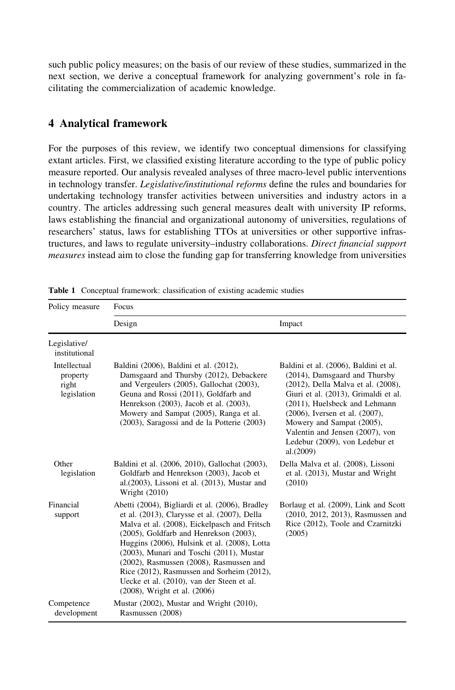such public policy measures; on the basis of our review of these studies, summarized in the next section, we derive a conceptual framework for analyzing government's role in facilitating the commercialization of academic knowledge.

## 4 Analytical framework

For the purposes of this review, we identify two conceptual dimensions for classifying extant articles. First, we classified existing literature according to the type of public policy measure reported. Our analysis revealed analyses of three macro-level public interventions in technology transfer. Legislative/institutional reforms define the rules and boundaries for undertaking technology transfer activities between universities and industry actors in a country. The articles addressing such general measures dealt with university IP reforms, laws establishing the financial and organizational autonomy of universities, regulations of researchers' status, laws for establishing TTOs at universities or other supportive infrastructures, and laws to regulate university–industry collaborations. Direct financial support measures instead aim to close the funding gap for transferring knowledge from universities

| Policy measure                                   | Focus                                                                                                                                                                                                                                                                                                                                                                                                                                                             |                                                                                                                                                                                                                                                                                                                                        |
|--------------------------------------------------|-------------------------------------------------------------------------------------------------------------------------------------------------------------------------------------------------------------------------------------------------------------------------------------------------------------------------------------------------------------------------------------------------------------------------------------------------------------------|----------------------------------------------------------------------------------------------------------------------------------------------------------------------------------------------------------------------------------------------------------------------------------------------------------------------------------------|
|                                                  | Design                                                                                                                                                                                                                                                                                                                                                                                                                                                            | Impact                                                                                                                                                                                                                                                                                                                                 |
| Legislative/<br>institutional                    |                                                                                                                                                                                                                                                                                                                                                                                                                                                                   |                                                                                                                                                                                                                                                                                                                                        |
| Intellectual<br>property<br>right<br>legislation | Baldini (2006), Baldini et al. (2012),<br>Damsgaard and Thursby (2012), Debackere<br>and Vergeulers (2005), Gallochat (2003),<br>Geuna and Rossi (2011), Goldfarb and<br>Henrekson (2003), Jacob et al. (2003),<br>Mowery and Sampat (2005), Ranga et al.<br>(2003), Saragossi and de la Potterie (2003)                                                                                                                                                          | Baldini et al. (2006), Baldini et al.<br>(2014), Damsgaard and Thursby<br>(2012), Della Malva et al. (2008),<br>Giuri et al. (2013), Grimaldi et al.<br>(2011), Huelsbeck and Lehmann<br>(2006), Iversen et al. (2007),<br>Mowery and Sampat (2005),<br>Valentin and Jensen (2007), von<br>Ledebur (2009), von Ledebur et<br>al.(2009) |
| Other<br>legislation                             | Baldini et al. (2006, 2010), Gallochat (2003),<br>Goldfarb and Henrekson (2003), Jacob et<br>al. $(2003)$ , Lissoni et al. $(2013)$ , Mustar and<br>Wright (2010)                                                                                                                                                                                                                                                                                                 | Della Malva et al. (2008), Lissoni<br>et al. (2013), Mustar and Wright<br>(2010)                                                                                                                                                                                                                                                       |
| Financial<br>support                             | Abetti (2004), Bigliardi et al. (2006), Bradley<br>et al. (2013), Clarysse et al. (2007), Della<br>Malva et al. (2008), Eickelpasch and Fritsch<br>(2005), Goldfarb and Henrekson (2003),<br>Huggins (2006), Hulsink et al. (2008), Lotta<br>(2003), Munari and Toschi (2011), Mustar<br>$(2002)$ , Rasmussen $(2008)$ , Rasmussen and<br>Rice (2012), Rasmussen and Sorheim (2012),<br>Uecke et al. (2010), van der Steen et al.<br>(2008), Wright et al. (2006) | Borlaug et al. (2009), Link and Scott<br>(2010, 2012, 2013), Rasmussen and<br>Rice (2012), Toole and Czarnitzki<br>(2005)                                                                                                                                                                                                              |
| Competence<br>development                        | Mustar (2002), Mustar and Wright (2010),<br>Rasmussen (2008)                                                                                                                                                                                                                                                                                                                                                                                                      |                                                                                                                                                                                                                                                                                                                                        |

Table 1 Conceptual framework: classification of existing academic studies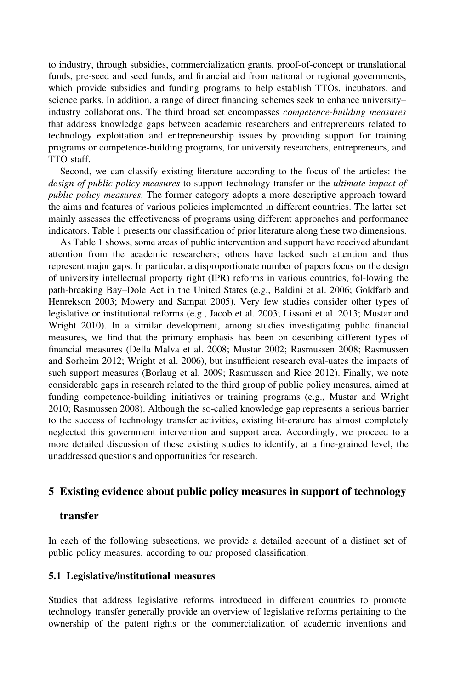to industry, through subsidies, commercialization grants, proof-of-concept or translational funds, pre-seed and seed funds, and financial aid from national or regional governments, which provide subsidies and funding programs to help establish TTOs, incubators, and science parks. In addition, a range of direct financing schemes seek to enhance university– industry collaborations. The third broad set encompasses competence-building measures that address knowledge gaps between academic researchers and entrepreneurs related to technology exploitation and entrepreneurship issues by providing support for training programs or competence-building programs, for university researchers, entrepreneurs, and TTO staff.

Second, we can classify existing literature according to the focus of the articles: the design of public policy measures to support technology transfer or the ultimate impact of public policy measures. The former category adopts a more descriptive approach toward the aims and features of various policies implemented in different countries. The latter set mainly assesses the effectiveness of programs using different approaches and performance indicators. Table 1 presents our classification of prior literature along these two dimensions.

As Table 1 shows, some areas of public intervention and support have received abundant attention from the academic researchers; others have lacked such attention and thus represent major gaps. In particular, a disproportionate number of papers focus on the design of university intellectual property right (IPR) reforms in various countries, fol-lowing the path-breaking Bay–Dole Act in the United States (e.g., Baldini et al. 2006; Goldfarb and Henrekson 2003; Mowery and Sampat 2005). Very few studies consider other types of legislative or institutional reforms (e.g., Jacob et al. 2003; Lissoni et al. 2013; Mustar and Wright 2010). In a similar development, among studies investigating public financial measures, we find that the primary emphasis has been on describing different types of financial measures (Della Malva et al. 2008; Mustar 2002; Rasmussen 2008; Rasmussen and Sorheim 2012; Wright et al. 2006), but insufficient research eval-uates the impacts of such support measures (Borlaug et al. 2009; Rasmussen and Rice 2012). Finally, we note considerable gaps in research related to the third group of public policy measures, aimed at funding competence-building initiatives or training programs (e.g., Mustar and Wright 2010; Rasmussen 2008). Although the so-called knowledge gap represents a serious barrier to the success of technology transfer activities, existing lit-erature has almost completely neglected this government intervention and support area. Accordingly, we proceed to a more detailed discussion of these existing studies to identify, at a fine-grained level, the unaddressed questions and opportunities for research.

## 5 Existing evidence about public policy measures in support of technology

#### transfer

In each of the following subsections, we provide a detailed account of a distinct set of public policy measures, according to our proposed classification.

#### 5.1 Legislative/institutional measures

Studies that address legislative reforms introduced in different countries to promote technology transfer generally provide an overview of legislative reforms pertaining to the ownership of the patent rights or the commercialization of academic inventions and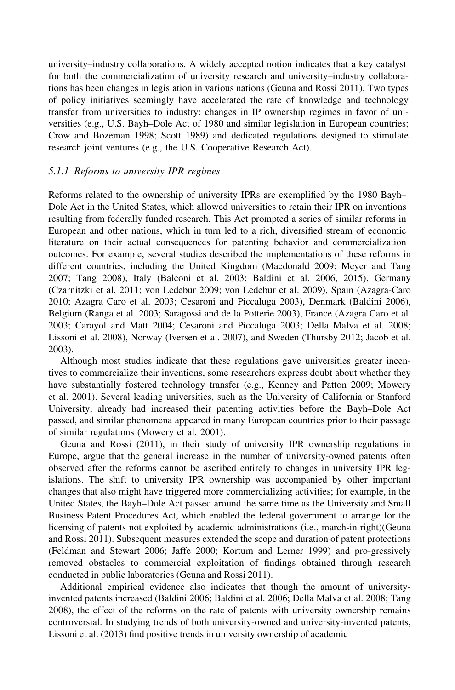university–industry collaborations. A widely accepted notion indicates that a key catalyst for both the commercialization of university research and university–industry collaborations has been changes in legislation in various nations (Geuna and Rossi 2011). Two types of policy initiatives seemingly have accelerated the rate of knowledge and technology transfer from universities to industry: changes in IP ownership regimes in favor of universities (e.g., U.S. Bayh–Dole Act of 1980 and similar legislation in European countries; Crow and Bozeman 1998; Scott 1989) and dedicated regulations designed to stimulate research joint ventures (e.g., the U.S. Cooperative Research Act).

## 5.1.1 Reforms to university IPR regimes

Reforms related to the ownership of university IPRs are exemplified by the 1980 Bayh– Dole Act in the United States, which allowed universities to retain their IPR on inventions resulting from federally funded research. This Act prompted a series of similar reforms in European and other nations, which in turn led to a rich, diversified stream of economic literature on their actual consequences for patenting behavior and commercialization outcomes. For example, several studies described the implementations of these reforms in different countries, including the United Kingdom (Macdonald 2009; Meyer and Tang 2007; Tang 2008), Italy (Balconi et al. 2003; Baldini et al. 2006, 2015), Germany (Czarnitzki et al. 2011; von Ledebur 2009; von Ledebur et al. 2009), Spain (Azagra-Caro 2010; Azagra Caro et al. 2003; Cesaroni and Piccaluga 2003), Denmark (Baldini 2006), Belgium (Ranga et al. 2003; Saragossi and de la Potterie 2003), France (Azagra Caro et al. 2003; Carayol and Matt 2004; Cesaroni and Piccaluga 2003; Della Malva et al. 2008; Lissoni et al. 2008), Norway (Iversen et al. 2007), and Sweden (Thursby 2012; Jacob et al. 2003).

Although most studies indicate that these regulations gave universities greater incentives to commercialize their inventions, some researchers express doubt about whether they have substantially fostered technology transfer (e.g., Kenney and Patton 2009; Mowery et al. 2001). Several leading universities, such as the University of California or Stanford University, already had increased their patenting activities before the Bayh–Dole Act passed, and similar phenomena appeared in many European countries prior to their passage of similar regulations (Mowery et al. 2001).

Geuna and Rossi (2011), in their study of university IPR ownership regulations in Europe, argue that the general increase in the number of university-owned patents often observed after the reforms cannot be ascribed entirely to changes in university IPR legislations. The shift to university IPR ownership was accompanied by other important changes that also might have triggered more commercializing activities; for example, in the United States, the Bayh–Dole Act passed around the same time as the University and Small Business Patent Procedures Act, which enabled the federal government to arrange for the licensing of patents not exploited by academic administrations (i.e., march-in right)(Geuna and Rossi 2011). Subsequent measures extended the scope and duration of patent protections (Feldman and Stewart 2006; Jaffe 2000; Kortum and Lerner 1999) and pro-gressively removed obstacles to commercial exploitation of findings obtained through research conducted in public laboratories (Geuna and Rossi 2011).

Additional empirical evidence also indicates that though the amount of universityinvented patents increased (Baldini 2006; Baldini et al. 2006; Della Malva et al. 2008; Tang 2008), the effect of the reforms on the rate of patents with university ownership remains controversial. In studying trends of both university-owned and university-invented patents, Lissoni et al. (2013) find positive trends in university ownership of academic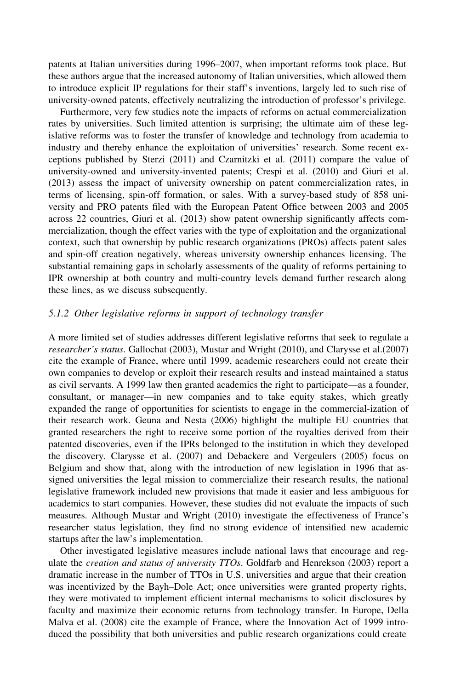patents at Italian universities during 1996–2007, when important reforms took place. But these authors argue that the increased autonomy of Italian universities, which allowed them to introduce explicit IP regulations for their staff's inventions, largely led to such rise of university-owned patents, effectively neutralizing the introduction of professor's privilege.

Furthermore, very few studies note the impacts of reforms on actual commercialization rates by universities. Such limited attention is surprising; the ultimate aim of these legislative reforms was to foster the transfer of knowledge and technology from academia to industry and thereby enhance the exploitation of universities' research. Some recent exceptions published by Sterzi (2011) and Czarnitzki et al. (2011) compare the value of university-owned and university-invented patents; Crespi et al. (2010) and Giuri et al. (2013) assess the impact of university ownership on patent commercialization rates, in terms of licensing, spin-off formation, or sales. With a survey-based study of 858 university and PRO patents filed with the European Patent Office between 2003 and 2005 across 22 countries, Giuri et al. (2013) show patent ownership significantly affects commercialization, though the effect varies with the type of exploitation and the organizational context, such that ownership by public research organizations (PROs) affects patent sales and spin-off creation negatively, whereas university ownership enhances licensing. The substantial remaining gaps in scholarly assessments of the quality of reforms pertaining to IPR ownership at both country and multi-country levels demand further research along these lines, as we discuss subsequently.

## 5.1.2 Other legislative reforms in support of technology transfer

A more limited set of studies addresses different legislative reforms that seek to regulate a researcher's status. Gallochat (2003), Mustar and Wright (2010), and Clarysse et al.(2007) cite the example of France, where until 1999, academic researchers could not create their own companies to develop or exploit their research results and instead maintained a status as civil servants. A 1999 law then granted academics the right to participate—as a founder, consultant, or manager—in new companies and to take equity stakes, which greatly expanded the range of opportunities for scientists to engage in the commercial-ization of their research work. Geuna and Nesta (2006) highlight the multiple EU countries that granted researchers the right to receive some portion of the royalties derived from their patented discoveries, even if the IPRs belonged to the institution in which they developed the discovery. Clarysse et al. (2007) and Debackere and Vergeulers (2005) focus on Belgium and show that, along with the introduction of new legislation in 1996 that assigned universities the legal mission to commercialize their research results, the national legislative framework included new provisions that made it easier and less ambiguous for academics to start companies. However, these studies did not evaluate the impacts of such measures. Although Mustar and Wright (2010) investigate the effectiveness of France's researcher status legislation, they find no strong evidence of intensified new academic startups after the law's implementation.

Other investigated legislative measures include national laws that encourage and regulate the creation and status of university TTOs. Goldfarb and Henrekson (2003) report a dramatic increase in the number of TTOs in U.S. universities and argue that their creation was incentivized by the Bayh–Dole Act; once universities were granted property rights, they were motivated to implement efficient internal mechanisms to solicit disclosures by faculty and maximize their economic returns from technology transfer. In Europe, Della Malva et al. (2008) cite the example of France, where the Innovation Act of 1999 introduced the possibility that both universities and public research organizations could create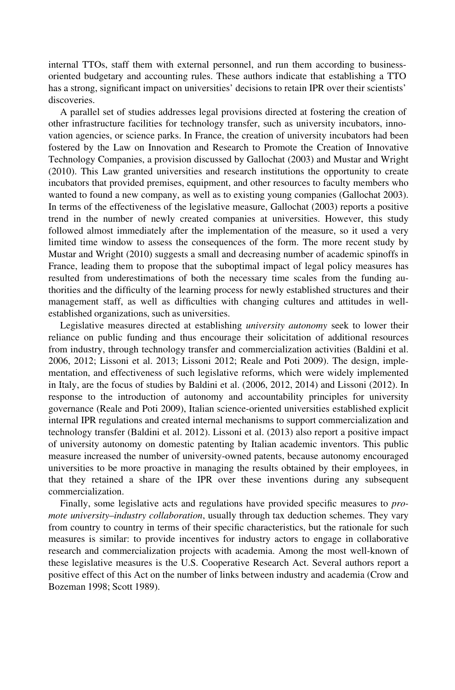internal TTOs, staff them with external personnel, and run them according to businessoriented budgetary and accounting rules. These authors indicate that establishing a TTO has a strong, significant impact on universities' decisions to retain IPR over their scientists' discoveries.

A parallel set of studies addresses legal provisions directed at fostering the creation of other infrastructure facilities for technology transfer, such as university incubators, innovation agencies, or science parks. In France, the creation of university incubators had been fostered by the Law on Innovation and Research to Promote the Creation of Innovative Technology Companies, a provision discussed by Gallochat (2003) and Mustar and Wright (2010). This Law granted universities and research institutions the opportunity to create incubators that provided premises, equipment, and other resources to faculty members who wanted to found a new company, as well as to existing young companies (Gallochat 2003). In terms of the effectiveness of the legislative measure, Gallochat (2003) reports a positive trend in the number of newly created companies at universities. However, this study followed almost immediately after the implementation of the measure, so it used a very limited time window to assess the consequences of the form. The more recent study by Mustar and Wright (2010) suggests a small and decreasing number of academic spinoffs in France, leading them to propose that the suboptimal impact of legal policy measures has resulted from underestimations of both the necessary time scales from the funding authorities and the difficulty of the learning process for newly established structures and their management staff, as well as difficulties with changing cultures and attitudes in wellestablished organizations, such as universities.

Legislative measures directed at establishing university autonomy seek to lower their reliance on public funding and thus encourage their solicitation of additional resources from industry, through technology transfer and commercialization activities (Baldini et al. 2006, 2012; Lissoni et al. 2013; Lissoni 2012; Reale and Poti 2009). The design, implementation, and effectiveness of such legislative reforms, which were widely implemented in Italy, are the focus of studies by Baldini et al. (2006, 2012, 2014) and Lissoni (2012). In response to the introduction of autonomy and accountability principles for university governance (Reale and Poti 2009), Italian science-oriented universities established explicit internal IPR regulations and created internal mechanisms to support commercialization and technology transfer (Baldini et al. 2012). Lissoni et al. (2013) also report a positive impact of university autonomy on domestic patenting by Italian academic inventors. This public measure increased the number of university-owned patents, because autonomy encouraged universities to be more proactive in managing the results obtained by their employees, in that they retained a share of the IPR over these inventions during any subsequent commercialization.

Finally, some legislative acts and regulations have provided specific measures to promote university-industry collaboration, usually through tax deduction schemes. They vary from country to country in terms of their specific characteristics, but the rationale for such measures is similar: to provide incentives for industry actors to engage in collaborative research and commercialization projects with academia. Among the most well-known of these legislative measures is the U.S. Cooperative Research Act. Several authors report a positive effect of this Act on the number of links between industry and academia (Crow and Bozeman 1998; Scott 1989).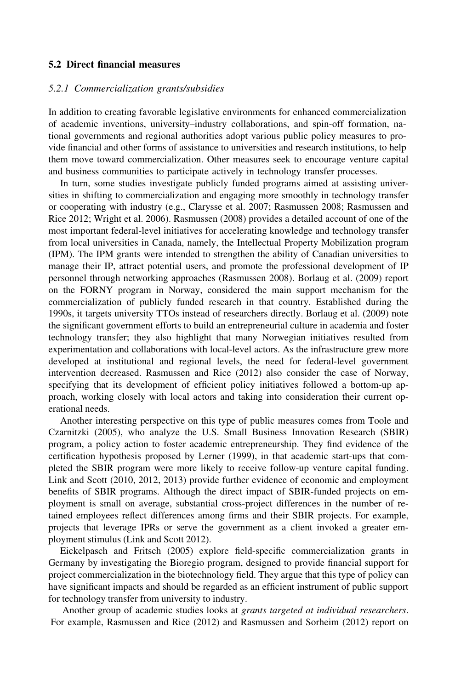#### 5.2 Direct financial measures

#### 5.2.1 Commercialization grants/subsidies

In addition to creating favorable legislative environments for enhanced commercialization of academic inventions, university–industry collaborations, and spin-off formation, national governments and regional authorities adopt various public policy measures to provide financial and other forms of assistance to universities and research institutions, to help them move toward commercialization. Other measures seek to encourage venture capital and business communities to participate actively in technology transfer processes.

In turn, some studies investigate publicly funded programs aimed at assisting universities in shifting to commercialization and engaging more smoothly in technology transfer or cooperating with industry (e.g., Clarysse et al. 2007; Rasmussen 2008; Rasmussen and Rice 2012; Wright et al. 2006). Rasmussen (2008) provides a detailed account of one of the most important federal-level initiatives for accelerating knowledge and technology transfer from local universities in Canada, namely, the Intellectual Property Mobilization program (IPM). The IPM grants were intended to strengthen the ability of Canadian universities to manage their IP, attract potential users, and promote the professional development of IP personnel through networking approaches (Rasmussen 2008). Borlaug et al. (2009) report on the FORNY program in Norway, considered the main support mechanism for the commercialization of publicly funded research in that country. Established during the 1990s, it targets university TTOs instead of researchers directly. Borlaug et al. (2009) note the significant government efforts to build an entrepreneurial culture in academia and foster technology transfer; they also highlight that many Norwegian initiatives resulted from experimentation and collaborations with local-level actors. As the infrastructure grew more developed at institutional and regional levels, the need for federal-level government intervention decreased. Rasmussen and Rice (2012) also consider the case of Norway, specifying that its development of efficient policy initiatives followed a bottom-up approach, working closely with local actors and taking into consideration their current operational needs.

Another interesting perspective on this type of public measures comes from Toole and Czarnitzki (2005), who analyze the U.S. Small Business Innovation Research (SBIR) program, a policy action to foster academic entrepreneurship. They find evidence of the certification hypothesis proposed by Lerner (1999), in that academic start-ups that completed the SBIR program were more likely to receive follow-up venture capital funding. Link and Scott (2010, 2012, 2013) provide further evidence of economic and employment benefits of SBIR programs. Although the direct impact of SBIR-funded projects on employment is small on average, substantial cross-project differences in the number of retained employees reflect differences among firms and their SBIR projects. For example, projects that leverage IPRs or serve the government as a client invoked a greater employment stimulus (Link and Scott 2012).

Eickelpasch and Fritsch (2005) explore field-specific commercialization grants in Germany by investigating the Bioregio program, designed to provide financial support for project commercialization in the biotechnology field. They argue that this type of policy can have significant impacts and should be regarded as an efficient instrument of public support for technology transfer from university to industry.

Another group of academic studies looks at grants targeted at individual researchers. For example, Rasmussen and Rice (2012) and Rasmussen and Sorheim (2012) report on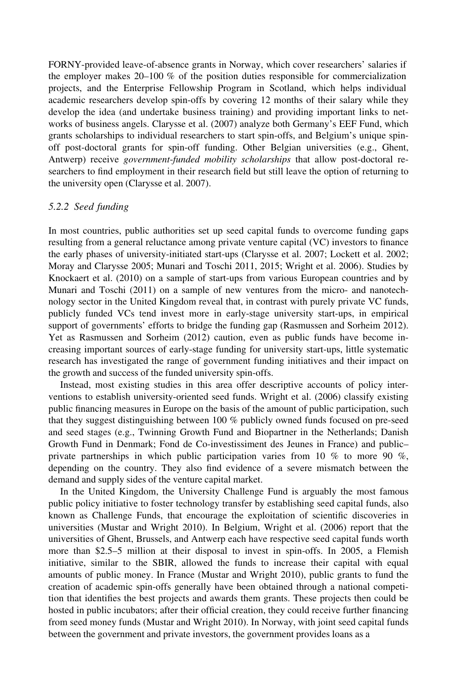FORNY-provided leave-of-absence grants in Norway, which cover researchers' salaries if the employer makes 20–100 % of the position duties responsible for commercialization projects, and the Enterprise Fellowship Program in Scotland, which helps individual academic researchers develop spin-offs by covering 12 months of their salary while they develop the idea (and undertake business training) and providing important links to networks of business angels. Clarysse et al. (2007) analyze both Germany's EEF Fund, which grants scholarships to individual researchers to start spin-offs, and Belgium's unique spinoff post-doctoral grants for spin-off funding. Other Belgian universities (e.g., Ghent, Antwerp) receive *government-funded mobility scholarships* that allow post-doctoral researchers to find employment in their research field but still leave the option of returning to the university open (Clarysse et al. 2007).

#### 5.2.2 Seed funding

In most countries, public authorities set up seed capital funds to overcome funding gaps resulting from a general reluctance among private venture capital (VC) investors to finance the early phases of university-initiated start-ups (Clarysse et al. 2007; Lockett et al. 2002; Moray and Clarysse 2005; Munari and Toschi 2011, 2015; Wright et al. 2006). Studies by Knockaert et al. (2010) on a sample of start-ups from various European countries and by Munari and Toschi (2011) on a sample of new ventures from the micro- and nanotechnology sector in the United Kingdom reveal that, in contrast with purely private VC funds, publicly funded VCs tend invest more in early-stage university start-ups, in empirical support of governments' efforts to bridge the funding gap (Rasmussen and Sorheim 2012). Yet as Rasmussen and Sorheim (2012) caution, even as public funds have become increasing important sources of early-stage funding for university start-ups, little systematic research has investigated the range of government funding initiatives and their impact on the growth and success of the funded university spin-offs.

Instead, most existing studies in this area offer descriptive accounts of policy interventions to establish university-oriented seed funds. Wright et al. (2006) classify existing public financing measures in Europe on the basis of the amount of public participation, such that they suggest distinguishing between 100 % publicly owned funds focused on pre-seed and seed stages (e.g., Twinning Growth Fund and Biopartner in the Netherlands; Danish Growth Fund in Denmark; Fond de Co-investissiment des Jeunes in France) and public– private partnerships in which public participation varies from 10 % to more 90 %, depending on the country. They also find evidence of a severe mismatch between the demand and supply sides of the venture capital market.

In the United Kingdom, the University Challenge Fund is arguably the most famous public policy initiative to foster technology transfer by establishing seed capital funds, also known as Challenge Funds, that encourage the exploitation of scientific discoveries in universities (Mustar and Wright 2010). In Belgium, Wright et al. (2006) report that the universities of Ghent, Brussels, and Antwerp each have respective seed capital funds worth more than \$2.5–5 million at their disposal to invest in spin-offs. In 2005, a Flemish initiative, similar to the SBIR, allowed the funds to increase their capital with equal amounts of public money. In France (Mustar and Wright 2010), public grants to fund the creation of academic spin-offs generally have been obtained through a national competition that identifies the best projects and awards them grants. These projects then could be hosted in public incubators; after their official creation, they could receive further financing from seed money funds (Mustar and Wright 2010). In Norway, with joint seed capital funds between the government and private investors, the government provides loans as a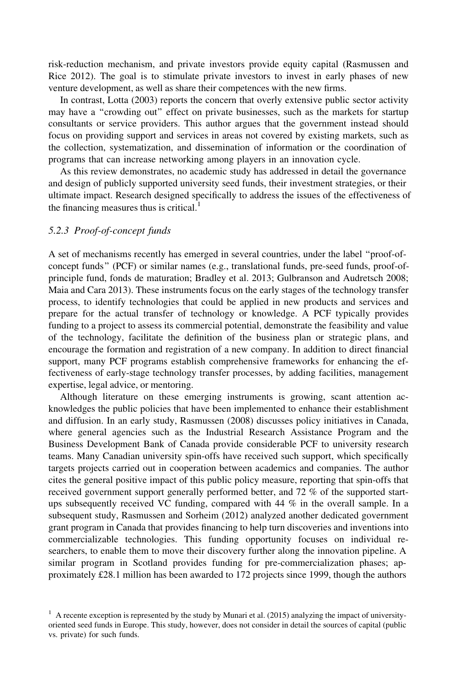risk-reduction mechanism, and private investors provide equity capital (Rasmussen and Rice 2012). The goal is to stimulate private investors to invest in early phases of new venture development, as well as share their competences with the new firms.

In contrast, Lotta (2003) reports the concern that overly extensive public sector activity may have a ''crowding out'' effect on private businesses, such as the markets for startup consultants or service providers. This author argues that the government instead should focus on providing support and services in areas not covered by existing markets, such as the collection, systematization, and dissemination of information or the coordination of programs that can increase networking among players in an innovation cycle.

As this review demonstrates, no academic study has addressed in detail the governance and design of publicly supported university seed funds, their investment strategies, or their ultimate impact. Research designed specifically to address the issues of the effectiveness of the financing measures thus is critical. $<sup>1</sup>$ </sup>

#### 5.2.3 Proof-of-concept funds

A set of mechanisms recently has emerged in several countries, under the label ''proof-ofconcept funds'' (PCF) or similar names (e.g., translational funds, pre-seed funds, proof-ofprinciple fund, fonds de maturation; Bradley et al. 2013; Gulbranson and Audretsch 2008; Maia and Cara 2013). These instruments focus on the early stages of the technology transfer process, to identify technologies that could be applied in new products and services and prepare for the actual transfer of technology or knowledge. A PCF typically provides funding to a project to assess its commercial potential, demonstrate the feasibility and value of the technology, facilitate the definition of the business plan or strategic plans, and encourage the formation and registration of a new company. In addition to direct financial support, many PCF programs establish comprehensive frameworks for enhancing the effectiveness of early-stage technology transfer processes, by adding facilities, management expertise, legal advice, or mentoring.

Although literature on these emerging instruments is growing, scant attention acknowledges the public policies that have been implemented to enhance their establishment and diffusion. In an early study, Rasmussen (2008) discusses policy initiatives in Canada, where general agencies such as the Industrial Research Assistance Program and the Business Development Bank of Canada provide considerable PCF to university research teams. Many Canadian university spin-offs have received such support, which specifically targets projects carried out in cooperation between academics and companies. The author cites the general positive impact of this public policy measure, reporting that spin-offs that received government support generally performed better, and 72 % of the supported startups subsequently received VC funding, compared with 44 % in the overall sample. In a subsequent study, Rasmussen and Sorheim (2012) analyzed another dedicated government grant program in Canada that provides financing to help turn discoveries and inventions into commercializable technologies. This funding opportunity focuses on individual researchers, to enable them to move their discovery further along the innovation pipeline. A similar program in Scotland provides funding for pre-commercialization phases; approximately £28.1 million has been awarded to 172 projects since 1999, though the authors

 $<sup>1</sup>$  A recente exception is represented by the study by Munari et al. (2015) analyzing the impact of university-</sup> oriented seed funds in Europe. This study, however, does not consider in detail the sources of capital (public vs. private) for such funds.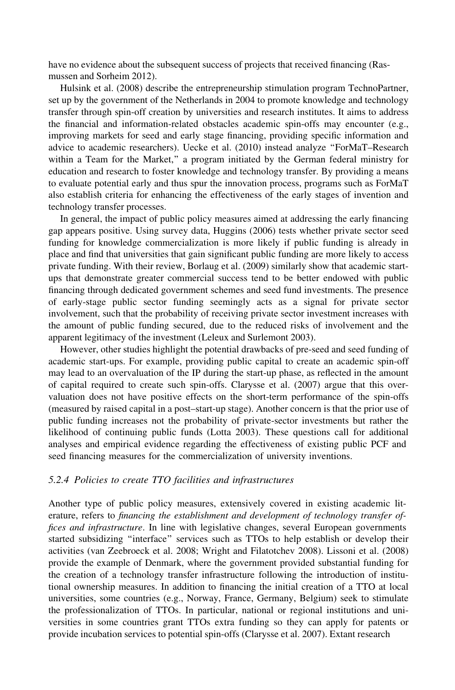have no evidence about the subsequent success of projects that received financing (Rasmussen and Sorheim 2012).

Hulsink et al. (2008) describe the entrepreneurship stimulation program TechnoPartner, set up by the government of the Netherlands in 2004 to promote knowledge and technology transfer through spin-off creation by universities and research institutes. It aims to address the financial and information-related obstacles academic spin-offs may encounter (e.g., improving markets for seed and early stage financing, providing specific information and advice to academic researchers). Uecke et al. (2010) instead analyze ''ForMaT–Research within a Team for the Market,'' a program initiated by the German federal ministry for education and research to foster knowledge and technology transfer. By providing a means to evaluate potential early and thus spur the innovation process, programs such as ForMaT also establish criteria for enhancing the effectiveness of the early stages of invention and technology transfer processes.

In general, the impact of public policy measures aimed at addressing the early financing gap appears positive. Using survey data, Huggins (2006) tests whether private sector seed funding for knowledge commercialization is more likely if public funding is already in place and find that universities that gain significant public funding are more likely to access private funding. With their review, Borlaug et al. (2009) similarly show that academic startups that demonstrate greater commercial success tend to be better endowed with public financing through dedicated government schemes and seed fund investments. The presence of early-stage public sector funding seemingly acts as a signal for private sector involvement, such that the probability of receiving private sector investment increases with the amount of public funding secured, due to the reduced risks of involvement and the apparent legitimacy of the investment (Leleux and Surlemont 2003).

However, other studies highlight the potential drawbacks of pre-seed and seed funding of academic start-ups. For example, providing public capital to create an academic spin-off may lead to an overvaluation of the IP during the start-up phase, as reflected in the amount of capital required to create such spin-offs. Clarysse et al. (2007) argue that this overvaluation does not have positive effects on the short-term performance of the spin-offs (measured by raised capital in a post–start-up stage). Another concern is that the prior use of public funding increases not the probability of private-sector investments but rather the likelihood of continuing public funds (Lotta 2003). These questions call for additional analyses and empirical evidence regarding the effectiveness of existing public PCF and seed financing measures for the commercialization of university inventions.

#### 5.2.4 Policies to create TTO facilities and infrastructures

Another type of public policy measures, extensively covered in existing academic literature, refers to financing the establishment and development of technology transfer offices and infrastructure. In line with legislative changes, several European governments started subsidizing ''interface'' services such as TTOs to help establish or develop their activities (van Zeebroeck et al. 2008; Wright and Filatotchev 2008). Lissoni et al. (2008) provide the example of Denmark, where the government provided substantial funding for the creation of a technology transfer infrastructure following the introduction of institutional ownership measures. In addition to financing the initial creation of a TTO at local universities, some countries (e.g., Norway, France, Germany, Belgium) seek to stimulate the professionalization of TTOs. In particular, national or regional institutions and universities in some countries grant TTOs extra funding so they can apply for patents or provide incubation services to potential spin-offs (Clarysse et al. 2007). Extant research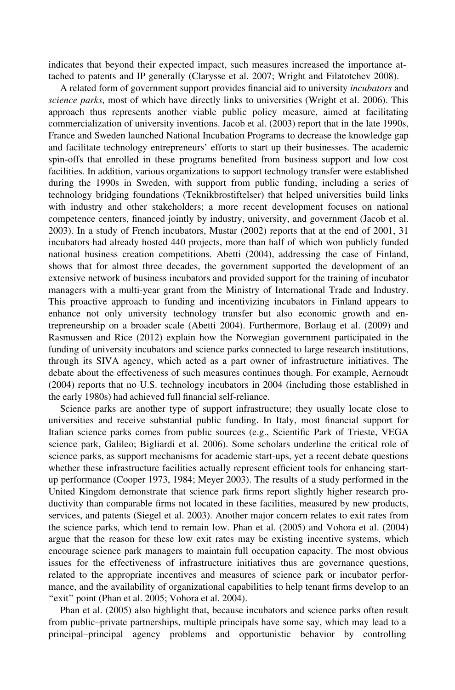indicates that beyond their expected impact, such measures increased the importance attached to patents and IP generally (Clarysse et al. 2007; Wright and Filatotchev 2008).

A related form of government support provides financial aid to university incubators and science parks, most of which have directly links to universities (Wright et al. 2006). This approach thus represents another viable public policy measure, aimed at facilitating commercialization of university inventions. Jacob et al. (2003) report that in the late 1990s, France and Sweden launched National Incubation Programs to decrease the knowledge gap and facilitate technology entrepreneurs' efforts to start up their businesses. The academic spin-offs that enrolled in these programs benefited from business support and low cost facilities. In addition, various organizations to support technology transfer were established during the 1990s in Sweden, with support from public funding, including a series of technology bridging foundations (Teknikbrostiftelser) that helped universities build links with industry and other stakeholders; a more recent development focuses on national competence centers, financed jointly by industry, university, and government (Jacob et al. 2003). In a study of French incubators, Mustar (2002) reports that at the end of 2001, 31 incubators had already hosted 440 projects, more than half of which won publicly funded national business creation competitions. Abetti (2004), addressing the case of Finland, shows that for almost three decades, the government supported the development of an extensive network of business incubators and provided support for the training of incubator managers with a multi-year grant from the Ministry of International Trade and Industry. This proactive approach to funding and incentivizing incubators in Finland appears to enhance not only university technology transfer but also economic growth and entrepreneurship on a broader scale (Abetti 2004). Furthermore, Borlaug et al. (2009) and Rasmussen and Rice (2012) explain how the Norwegian government participated in the funding of university incubators and science parks connected to large research institutions, through its SIVA agency, which acted as a part owner of infrastructure initiatives. The debate about the effectiveness of such measures continues though. For example, Aernoudt (2004) reports that no U.S. technology incubators in 2004 (including those established in the early 1980s) had achieved full financial self-reliance.

Science parks are another type of support infrastructure; they usually locate close to universities and receive substantial public funding. In Italy, most financial support for Italian science parks comes from public sources (e.g., Scientific Park of Trieste, VEGA science park, Galileo; Bigliardi et al. 2006). Some scholars underline the critical role of science parks, as support mechanisms for academic start-ups, yet a recent debate questions whether these infrastructure facilities actually represent efficient tools for enhancing startup performance (Cooper 1973, 1984; Meyer 2003). The results of a study performed in the United Kingdom demonstrate that science park firms report slightly higher research productivity than comparable firms not located in these facilities, measured by new products, services, and patents (Siegel et al. 2003). Another major concern relates to exit rates from the science parks, which tend to remain low. Phan et al. (2005) and Vohora et al. (2004) argue that the reason for these low exit rates may be existing incentive systems, which encourage science park managers to maintain full occupation capacity. The most obvious issues for the effectiveness of infrastructure initiatives thus are governance questions, related to the appropriate incentives and measures of science park or incubator performance, and the availability of organizational capabilities to help tenant firms develop to an "exit" point (Phan et al. 2005; Vohora et al. 2004).

Phan et al. (2005) also highlight that, because incubators and science parks often result from public–private partnerships, multiple principals have some say, which may lead to a principal–principal agency problems and opportunistic behavior by controlling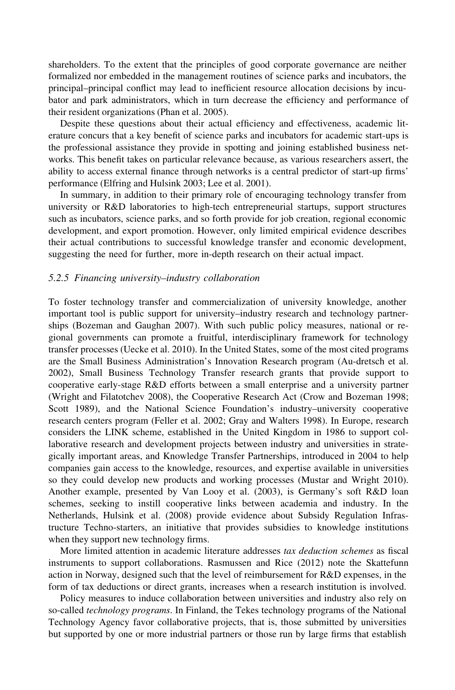shareholders. To the extent that the principles of good corporate governance are neither formalized nor embedded in the management routines of science parks and incubators, the principal–principal conflict may lead to inefficient resource allocation decisions by incubator and park administrators, which in turn decrease the efficiency and performance of their resident organizations (Phan et al. 2005).

Despite these questions about their actual efficiency and effectiveness, academic literature concurs that a key benefit of science parks and incubators for academic start-ups is the professional assistance they provide in spotting and joining established business networks. This benefit takes on particular relevance because, as various researchers assert, the ability to access external finance through networks is a central predictor of start-up firms' performance (Elfring and Hulsink 2003; Lee et al. 2001).

In summary, in addition to their primary role of encouraging technology transfer from university or R&D laboratories to high-tech entrepreneurial startups, support structures such as incubators, science parks, and so forth provide for job creation, regional economic development, and export promotion. However, only limited empirical evidence describes their actual contributions to successful knowledge transfer and economic development, suggesting the need for further, more in-depth research on their actual impact.

#### 5.2.5 Financing university–industry collaboration

To foster technology transfer and commercialization of university knowledge, another important tool is public support for university–industry research and technology partnerships (Bozeman and Gaughan 2007). With such public policy measures, national or regional governments can promote a fruitful, interdisciplinary framework for technology transfer processes (Uecke et al. 2010). In the United States, some of the most cited programs are the Small Business Administration's Innovation Research program (Au-dretsch et al. 2002), Small Business Technology Transfer research grants that provide support to cooperative early-stage R&D efforts between a small enterprise and a university partner (Wright and Filatotchev 2008), the Cooperative Research Act (Crow and Bozeman 1998; Scott 1989), and the National Science Foundation's industry–university cooperative research centers program (Feller et al. 2002; Gray and Walters 1998). In Europe, research considers the LINK scheme, established in the United Kingdom in 1986 to support collaborative research and development projects between industry and universities in strategically important areas, and Knowledge Transfer Partnerships, introduced in 2004 to help companies gain access to the knowledge, resources, and expertise available in universities so they could develop new products and working processes (Mustar and Wright 2010). Another example, presented by Van Looy et al. (2003), is Germany's soft R&D loan schemes, seeking to instill cooperative links between academia and industry. In the Netherlands, Hulsink et al. (2008) provide evidence about Subsidy Regulation Infrastructure Techno-starters, an initiative that provides subsidies to knowledge institutions when they support new technology firms.

More limited attention in academic literature addresses tax deduction schemes as fiscal instruments to support collaborations. Rasmussen and Rice (2012) note the Skattefunn action in Norway, designed such that the level of reimbursement for R&D expenses, in the form of tax deductions or direct grants, increases when a research institution is involved.

Policy measures to induce collaboration between universities and industry also rely on so-called technology programs. In Finland, the Tekes technology programs of the National Technology Agency favor collaborative projects, that is, those submitted by universities but supported by one or more industrial partners or those run by large firms that establish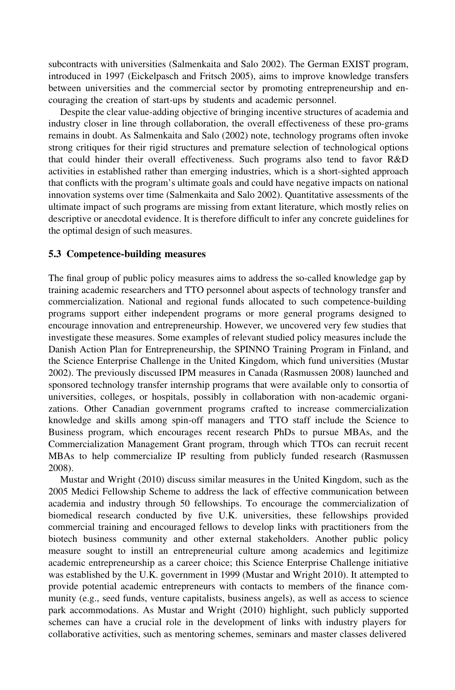subcontracts with universities (Salmenkaita and Salo 2002). The German EXIST program, introduced in 1997 (Eickelpasch and Fritsch 2005), aims to improve knowledge transfers between universities and the commercial sector by promoting entrepreneurship and encouraging the creation of start-ups by students and academic personnel.

Despite the clear value-adding objective of bringing incentive structures of academia and industry closer in line through collaboration, the overall effectiveness of these pro-grams remains in doubt. As Salmenkaita and Salo (2002) note, technology programs often invoke strong critiques for their rigid structures and premature selection of technological options that could hinder their overall effectiveness. Such programs also tend to favor R&D activities in established rather than emerging industries, which is a short-sighted approach that conflicts with the program's ultimate goals and could have negative impacts on national innovation systems over time (Salmenkaita and Salo 2002). Quantitative assessments of the ultimate impact of such programs are missing from extant literature, which mostly relies on descriptive or anecdotal evidence. It is therefore difficult to infer any concrete guidelines for the optimal design of such measures.

#### 5.3 Competence-building measures

The final group of public policy measures aims to address the so-called knowledge gap by training academic researchers and TTO personnel about aspects of technology transfer and commercialization. National and regional funds allocated to such competence-building programs support either independent programs or more general programs designed to encourage innovation and entrepreneurship. However, we uncovered very few studies that investigate these measures. Some examples of relevant studied policy measures include the Danish Action Plan for Entrepreneurship, the SPINNO Training Program in Finland, and the Science Enterprise Challenge in the United Kingdom, which fund universities (Mustar 2002). The previously discussed IPM measures in Canada (Rasmussen 2008) launched and sponsored technology transfer internship programs that were available only to consortia of universities, colleges, or hospitals, possibly in collaboration with non-academic organizations. Other Canadian government programs crafted to increase commercialization knowledge and skills among spin-off managers and TTO staff include the Science to Business program, which encourages recent research PhDs to pursue MBAs, and the Commercialization Management Grant program, through which TTOs can recruit recent MBAs to help commercialize IP resulting from publicly funded research (Rasmussen 2008).

Mustar and Wright (2010) discuss similar measures in the United Kingdom, such as the 2005 Medici Fellowship Scheme to address the lack of effective communication between academia and industry through 50 fellowships. To encourage the commercialization of biomedical research conducted by five U.K. universities, these fellowships provided commercial training and encouraged fellows to develop links with practitioners from the biotech business community and other external stakeholders. Another public policy measure sought to instill an entrepreneurial culture among academics and legitimize academic entrepreneurship as a career choice; this Science Enterprise Challenge initiative was established by the U.K. government in 1999 (Mustar and Wright 2010). It attempted to provide potential academic entrepreneurs with contacts to members of the finance community (e.g., seed funds, venture capitalists, business angels), as well as access to science park accommodations. As Mustar and Wright (2010) highlight, such publicly supported schemes can have a crucial role in the development of links with industry players for collaborative activities, such as mentoring schemes, seminars and master classes delivered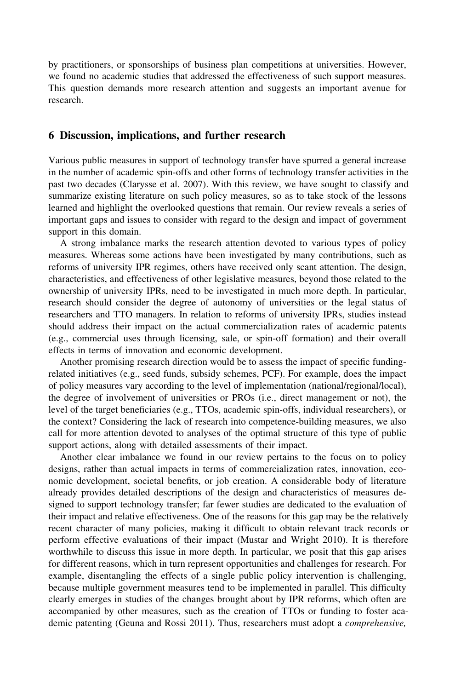by practitioners, or sponsorships of business plan competitions at universities. However, we found no academic studies that addressed the effectiveness of such support measures. This question demands more research attention and suggests an important avenue for research.

## 6 Discussion, implications, and further research

Various public measures in support of technology transfer have spurred a general increase in the number of academic spin-offs and other forms of technology transfer activities in the past two decades (Clarysse et al. 2007). With this review, we have sought to classify and summarize existing literature on such policy measures, so as to take stock of the lessons learned and highlight the overlooked questions that remain. Our review reveals a series of important gaps and issues to consider with regard to the design and impact of government support in this domain.

A strong imbalance marks the research attention devoted to various types of policy measures. Whereas some actions have been investigated by many contributions, such as reforms of university IPR regimes, others have received only scant attention. The design, characteristics, and effectiveness of other legislative measures, beyond those related to the ownership of university IPRs, need to be investigated in much more depth. In particular, research should consider the degree of autonomy of universities or the legal status of researchers and TTO managers. In relation to reforms of university IPRs, studies instead should address their impact on the actual commercialization rates of academic patents (e.g., commercial uses through licensing, sale, or spin-off formation) and their overall effects in terms of innovation and economic development.

Another promising research direction would be to assess the impact of specific fundingrelated initiatives (e.g., seed funds, subsidy schemes, PCF). For example, does the impact of policy measures vary according to the level of implementation (national/regional/local), the degree of involvement of universities or PROs (i.e., direct management or not), the level of the target beneficiaries (e.g., TTOs, academic spin-offs, individual researchers), or the context? Considering the lack of research into competence-building measures, we also call for more attention devoted to analyses of the optimal structure of this type of public support actions, along with detailed assessments of their impact.

Another clear imbalance we found in our review pertains to the focus on to policy designs, rather than actual impacts in terms of commercialization rates, innovation, economic development, societal benefits, or job creation. A considerable body of literature already provides detailed descriptions of the design and characteristics of measures designed to support technology transfer; far fewer studies are dedicated to the evaluation of their impact and relative effectiveness. One of the reasons for this gap may be the relatively recent character of many policies, making it difficult to obtain relevant track records or perform effective evaluations of their impact (Mustar and Wright 2010). It is therefore worthwhile to discuss this issue in more depth. In particular, we posit that this gap arises for different reasons, which in turn represent opportunities and challenges for research. For example, disentangling the effects of a single public policy intervention is challenging, because multiple government measures tend to be implemented in parallel. This difficulty clearly emerges in studies of the changes brought about by IPR reforms, which often are accompanied by other measures, such as the creation of TTOs or funding to foster academic patenting (Geuna and Rossi 2011). Thus, researchers must adopt a *comprehensive*,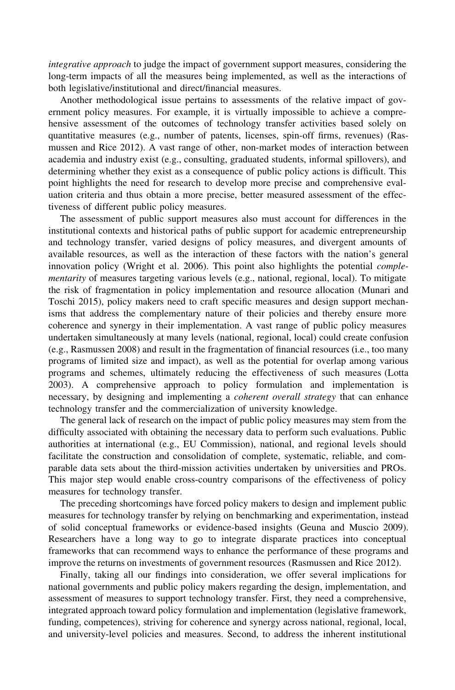integrative approach to judge the impact of government support measures, considering the long-term impacts of all the measures being implemented, as well as the interactions of both legislative/institutional and direct/financial measures.

Another methodological issue pertains to assessments of the relative impact of government policy measures. For example, it is virtually impossible to achieve a comprehensive assessment of the outcomes of technology transfer activities based solely on quantitative measures (e.g., number of patents, licenses, spin-off firms, revenues) (Rasmussen and Rice 2012). A vast range of other, non-market modes of interaction between academia and industry exist (e.g., consulting, graduated students, informal spillovers), and determining whether they exist as a consequence of public policy actions is difficult. This point highlights the need for research to develop more precise and comprehensive evaluation criteria and thus obtain a more precise, better measured assessment of the effectiveness of different public policy measures.

The assessment of public support measures also must account for differences in the institutional contexts and historical paths of public support for academic entrepreneurship and technology transfer, varied designs of policy measures, and divergent amounts of available resources, as well as the interaction of these factors with the nation's general innovation policy (Wright et al. 2006). This point also highlights the potential *comple*mentarity of measures targeting various levels (e.g., national, regional, local). To mitigate the risk of fragmentation in policy implementation and resource allocation (Munari and Toschi 2015), policy makers need to craft specific measures and design support mechanisms that address the complementary nature of their policies and thereby ensure more coherence and synergy in their implementation. A vast range of public policy measures undertaken simultaneously at many levels (national, regional, local) could create confusion (e.g., Rasmussen 2008) and result in the fragmentation of financial resources (i.e., too many programs of limited size and impact), as well as the potential for overlap among various programs and schemes, ultimately reducing the effectiveness of such measures (Lotta 2003). A comprehensive approach to policy formulation and implementation is necessary, by designing and implementing a *coherent overall strategy* that can enhance technology transfer and the commercialization of university knowledge.

The general lack of research on the impact of public policy measures may stem from the difficulty associated with obtaining the necessary data to perform such evaluations. Public authorities at international (e.g., EU Commission), national, and regional levels should facilitate the construction and consolidation of complete, systematic, reliable, and comparable data sets about the third-mission activities undertaken by universities and PROs. This major step would enable cross-country comparisons of the effectiveness of policy measures for technology transfer.

The preceding shortcomings have forced policy makers to design and implement public measures for technology transfer by relying on benchmarking and experimentation, instead of solid conceptual frameworks or evidence-based insights (Geuna and Muscio 2009). Researchers have a long way to go to integrate disparate practices into conceptual frameworks that can recommend ways to enhance the performance of these programs and improve the returns on investments of government resources (Rasmussen and Rice 2012).

Finally, taking all our findings into consideration, we offer several implications for national governments and public policy makers regarding the design, implementation, and assessment of measures to support technology transfer. First, they need a comprehensive, integrated approach toward policy formulation and implementation (legislative framework, funding, competences), striving for coherence and synergy across national, regional, local, and university-level policies and measures. Second, to address the inherent institutional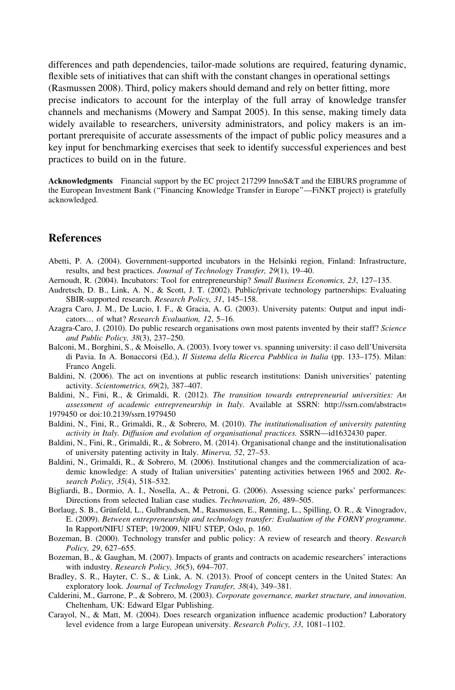differences and path dependencies, tailor-made solutions are required, featuring dynamic, flexible sets of initiatives that can shift with the constant changes in operational settings (Rasmussen 2008). Third, policy makers should demand and rely on better fitting, more precise indicators to account for the interplay of the full array of knowledge transfer channels and mechanisms (Mowery and Sampat 2005). In this sense, making timely data widely available to researchers, university administrators, and policy makers is an important prerequisite of accurate assessments of the impact of public policy measures and a key input for benchmarking exercises that seek to identify successful experiences and best practices to build on in the future.

Acknowledgments Financial support by the EC project 217299 InnoS&T and the EIBURS programme of the European Investment Bank (''Financing Knowledge Transfer in Europe''—FiNKT project) is gratefully acknowledged.

## References

- Abetti, P. A. (2004). Government-supported incubators in the Helsinki region, Finland: Infrastructure, results, and best practices. Journal of Technology Transfer, 29(1), 19–40.
- Aernoudt, R. (2004). Incubators: Tool for entrepreneurship? Small Business Economics, 23, 127–135.
- Audretsch, D. B., Link, A. N., & Scott, J. T. (2002). Public/private technology partnerships: Evaluating SBIR-supported research. Research Policy, 31, 145–158.
- Azagra Caro, J. M., De Lucio, I. F., & Gracia, A. G. (2003). University patents: Output and input indicators… of what? Research Evaluation, 12, 5–16.
- Azagra-Caro, J. (2010). Do public research organisations own most patents invented by their staff? Science and Public Policy, 38(3), 237–250.
- Balconi, M., Borghini, S., & Moisello, A. (2003). Ivory tower vs. spanning university: il caso dell'Universita di Pavia. In A. Bonaccorsi (Ed.), Il Sistema della Ricerca Pubblica in Italia (pp. 133–175). Milan: Franco Angeli.
- Baldini, N. (2006). The act on inventions at public research institutions: Danish universities' patenting activity. Scientometrics, 69(2), 387–407.
- Baldini, N., Fini, R., & Grimaldi, R. (2012). The transition towards entrepreneurial universities: An assessment of academic entrepreneurship in Italy. Available at SSRN: http://ssrn.com/abstract= 1979450 or doi:10.2139/ssrn.1979450
- Baldini, N., Fini, R., Grimaldi, R., & Sobrero, M. (2010). The institutionalisation of university patenting activity in Italy. Diffusion and evolution of organisational practices. SSRN—id1632430 paper.
- Baldini, N., Fini, R., Grimaldi, R., & Sobrero, M. (2014). Organisational change and the institutionalisation of university patenting activity in Italy. Minerva, 52, 27–53.
- Baldini, N., Grimaldi, R., & Sobrero, M. (2006). Institutional changes and the commercialization of academic knowledge: A study of Italian universities' patenting activities between 1965 and 2002. Research Policy, 35(4), 518–532.
- Bigliardi, B., Dormio, A. I., Nosella, A., & Petroni, G. (2006). Assessing science parks' performances: Directions from selected Italian case studies. Technovation, 26, 489–505.
- Borlaug, S. B., Grünfeld, L., Gulbrandsen, M., Rasmussen, E., Rønning, L., Spilling, O. R., & Vinogradov, E. (2009). Between entrepreneurship and technology transfer: Evaluation of the FORNY programme. In Rapport/NIFU STEP; 19/2009, NIFU STEP, Oslo, p. 160.
- Bozeman, B. (2000). Technology transfer and public policy: A review of research and theory. Research Policy, 29, 627–655.
- Bozeman, B., & Gaughan, M. (2007). Impacts of grants and contracts on academic researchers' interactions with industry. Research Policy, 36(5), 694–707.
- Bradley, S. R., Hayter, C. S., & Link, A. N. (2013). Proof of concept centers in the United States: An exploratory look. Journal of Technology Transfer, 38(4), 349–381.
- Calderini, M., Garrone, P., & Sobrero, M. (2003). Corporate governance, market structure, and innovation. Cheltenham, UK: Edward Elgar Publishing.
- Carayol, N., & Matt, M. (2004). Does research organization influence academic production? Laboratory level evidence from a large European university. Research Policy, 33, 1081–1102.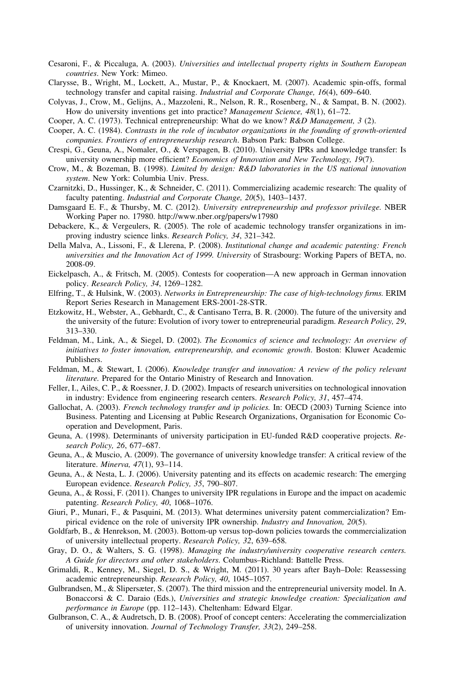- Cesaroni, F., & Piccaluga, A. (2003). Universities and intellectual property rights in Southern European countries. New York: Mimeo.
- Clarysse, B., Wright, M., Lockett, A., Mustar, P., & Knockaert, M. (2007). Academic spin-offs, formal technology transfer and capital raising. Industrial and Corporate Change, 16(4), 609–640.
- Colyvas, J., Crow, M., Gelijns, A., Mazzoleni, R., Nelson, R. R., Rosenberg, N., & Sampat, B. N. (2002). How do university inventions get into practice? Management Science, 48(1), 61–72.
- Cooper, A. C. (1973). Technical entrepreneurship: What do we know? R&D Management, 3 (2).
- Cooper, A. C. (1984). Contrasts in the role of incubator organizations in the founding of growth-oriented companies. Frontiers of entrepreneurship research. Babson Park: Babson College.
- Crespi, G., Geuna, A., Nomaler, O., & Verspagen, B. (2010). University IPRs and knowledge transfer: Is university ownership more efficient? Economics of Innovation and New Technology, 19(7).
- Crow, M., & Bozeman, B. (1998). Limited by design: R&D laboratories in the US national innovation system. New York: Columbia Univ. Press.
- Czarnitzki, D., Hussinger, K., & Schneider, C. (2011). Commercializing academic research: The quality of faculty patenting. Industrial and Corporate Change, 20(5), 1403–1437.
- Damsgaard E. F., & Thursby, M. C. (2012). University entrepreneurship and professor privilege. NBER Working Paper no. 17980. http://www.nber.org/papers/w17980
- Debackere, K., & Vergeulers, R. (2005). The role of academic technology transfer organizations in improving industry science links. Research Policy, 34, 321–342.
- Della Malva, A., Lissoni, F., & Llerena, P. (2008). Institutional change and academic patenting: French universities and the Innovation Act of 1999. University of Strasbourg: Working Papers of BETA, no. 2008-09.
- Eickelpasch, A., & Fritsch, M. (2005). Contests for cooperation—A new approach in German innovation policy. Research Policy, 34, 1269–1282.
- Elfring, T., & Hulsink, W. (2003). Networks in Entrepreneurship: The case of high-technology firms. ERIM Report Series Research in Management ERS-2001-28-STR.
- Etzkowitz, H., Webster, A., Gebhardt, C., & Cantisano Terra, B. R. (2000). The future of the university and the university of the future: Evolution of ivory tower to entrepreneurial paradigm. Research Policy, 29, 313–330.
- Feldman, M., Link, A., & Siegel, D. (2002). The Economics of science and technology: An overview of initiatives to foster innovation, entrepreneurship, and economic growth. Boston: Kluwer Academic Publishers.
- Feldman, M., & Stewart, I. (2006). Knowledge transfer and innovation: A review of the policy relevant literature. Prepared for the Ontario Ministry of Research and Innovation.
- Feller, I., Ailes, C. P., & Roessner, J. D. (2002). Impacts of research universities on technological innovation in industry: Evidence from engineering research centers. Research Policy, 31, 457–474.
- Gallochat, A. (2003). *French technology transfer and ip policies*. In: OECD (2003) Turning Science into Business. Patenting and Licensing at Public Research Organizations, Organisation for Economic Cooperation and Development, Paris.
- Geuna, A. (1998). Determinants of university participation in EU-funded R&D cooperative projects. Research Policy, 26, 677–687.
- Geuna, A., & Muscio, A. (2009). The governance of university knowledge transfer: A critical review of the literature. Minerva, 47(1), 93–114.
- Geuna, A., & Nesta, L. J. (2006). University patenting and its effects on academic research: The emerging European evidence. Research Policy, 35, 790–807.
- Geuna, A., & Rossi, F. (2011). Changes to university IPR regulations in Europe and the impact on academic patenting. Research Policy, 40, 1068–1076.
- Giuri, P., Munari, F., & Pasquini, M. (2013). What determines university patent commercialization? Empirical evidence on the role of university IPR ownership. Industry and Innovation, 20(5).
- Goldfarb, B., & Henrekson, M. (2003). Bottom-up versus top-down policies towards the commercialization of university intellectual property. Research Policy, 32, 639–658.
- Gray, D. O., & Walters, S. G. (1998). Managing the industry/university cooperative research centers. A Guide for directors and other stakeholders. Columbus–Richland: Battelle Press.
- Grimaldi, R., Kenney, M., Siegel, D. S., & Wright, M. (2011). 30 years after Bayh–Dole: Reassessing academic entrepreneurship. Research Policy, 40, 1045–1057.
- Gulbrandsen, M., & Slipersæter, S. (2007). The third mission and the entrepreneurial university model. In A. Bonaccorsi & C. Daraio (Eds.), Universities and strategic knowledge creation: Specialization and performance in Europe (pp. 112–143). Cheltenham: Edward Elgar.
- Gulbranson, C. A., & Audretsch, D. B. (2008). Proof of concept centers: Accelerating the commercialization of university innovation. Journal of Technology Transfer, 33(2), 249–258.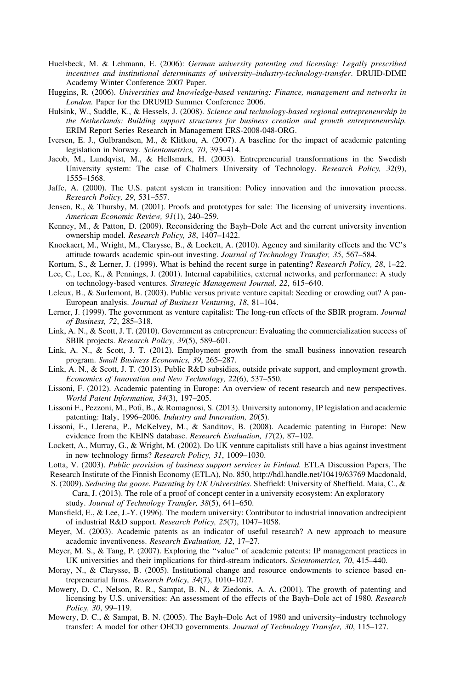- Huelsbeck, M. & Lehmann, E. (2006): German university patenting and licensing: Legally prescribed incentives and institutional determinants of university–industry-technology-transfer. DRUID-DIME Academy Winter Conference 2007 Paper.
- Huggins, R. (2006). Universities and knowledge-based venturing: Finance, management and networks in London. Paper for the DRU9ID Summer Conference 2006.
- Hulsink, W., Suddle, K., & Hessels, J. (2008). Science and technology-based regional entrepreneurship in the Netherlands: Building support structures for business creation and growth entrepreneurship. ERIM Report Series Research in Management ERS-2008-048-ORG.
- Iversen, E. J., Gulbrandsen, M., & Klitkou, A. (2007). A baseline for the impact of academic patenting legislation in Norway. Scientometrics, 70, 393–414.
- Jacob, M., Lundqvist, M., & Hellsmark, H. (2003). Entrepreneurial transformations in the Swedish University system: The case of Chalmers University of Technology. Research Policy, 32(9), 1555–1568.
- Jaffe, A. (2000). The U.S. patent system in transition: Policy innovation and the innovation process. Research Policy, 29, 531–557.
- Jensen, R., & Thursby, M. (2001). Proofs and prototypes for sale: The licensing of university inventions. American Economic Review, 91(1), 240–259.
- Kenney, M., & Patton, D. (2009). Reconsidering the Bayh–Dole Act and the current university invention ownership model. Research Policy, 38, 1407–1422.
- Knockaert, M., Wright, M., Clarysse, B., & Lockett, A. (2010). Agency and similarity effects and the VC's attitude towards academic spin-out investing. Journal of Technology Transfer, 35, 567–584.
- Kortum, S., & Lerner, J. (1999). What is behind the recent surge in patenting? Research Policy, 28, 1–22.
- Lee, C., Lee, K., & Pennings, J. (2001). Internal capabilities, external networks, and performance: A study on technology-based ventures. Strategic Management Journal, 22, 615–640.
- Leleux, B., & Surlemont, B. (2003). Public versus private venture capital: Seeding or crowding out? A pan-European analysis. Journal of Business Venturing, 18, 81–104.
- Lerner, J. (1999). The government as venture capitalist: The long-run effects of the SBIR program. Journal of Business, 72, 285–318.
- Link, A. N., & Scott, J. T. (2010). Government as entrepreneur: Evaluating the commercialization success of SBIR projects. Research Policy, 39(5), 589–601.
- Link, A. N., & Scott, J. T. (2012). Employment growth from the small business innovation research program. Small Business Economics, 39, 265–287.
- Link, A. N., & Scott, J. T. (2013). Public R&D subsidies, outside private support, and employment growth. Economics of Innovation and New Technology, 22(6), 537–550.
- Lissoni, F. (2012). Academic patenting in Europe: An overview of recent research and new perspectives. World Patent Information, 34(3), 197–205.
- Lissoni F., Pezzoni, M., Potì, B., & Romagnosi, S. (2013). University autonomy, IP legislation and academic patenting: Italy, 1996–2006. Industry and Innovation, 20(5).
- Lissoni, F., Llerena, P., McKelvey, M., & Sanditov, B. (2008). Academic patenting in Europe: New evidence from the KEINS database. Research Evaluation, 17(2), 87-102.
- Lockett, A., Murray, G., & Wright, M. (2002). Do UK venture capitalists still have a bias against investment in new technology firms? Research Policy, 31, 1009–1030.
- Lotta, V. (2003). Public provision of business support services in Finland. ETLA Discussion Papers, The
- Research Institute of the Finnish Economy (ETLA), No. 850, http://hdl.handle.net/10419/63769 Macdonald, S. (2009). Seducing the goose. Patenting by UK Universities. Sheffield: University of Sheffield. Maia, C., & Cara, J. (2013). The role of a proof of concept center in a university ecosystem: An exploratory study. Journal of Technology Transfer, 38(5), 641–650.
- Mansfield, E., & Lee, J.-Y. (1996). The modern university: Contributor to industrial innovation andrecipient of industrial R&D support. Research Policy, 25(7), 1047–1058.
- Meyer, M. (2003). Academic patents as an indicator of useful research? A new approach to measure academic inventiveness. Research Evaluation, 12, 17–27.
- Meyer, M. S., & Tang, P. (2007). Exploring the "value" of academic patents: IP management practices in UK universities and their implications for third-stream indicators. Scientometrics, 70, 415–440.
- Moray, N., & Clarysse, B. (2005). Institutional change and resource endowments to science based entrepreneurial firms. Research Policy, 34(7), 1010–1027.
- Mowery, D. C., Nelson, R. R., Sampat, B. N., & Ziedonis, A. A. (2001). The growth of patenting and licensing by U.S. universities: An assessment of the effects of the Bayh–Dole act of 1980. Research Policy, 30, 99–119.
- Mowery, D. C., & Sampat, B. N. (2005). The Bayh–Dole Act of 1980 and university–industry technology transfer: A model for other OECD governments. Journal of Technology Transfer, 30, 115–127.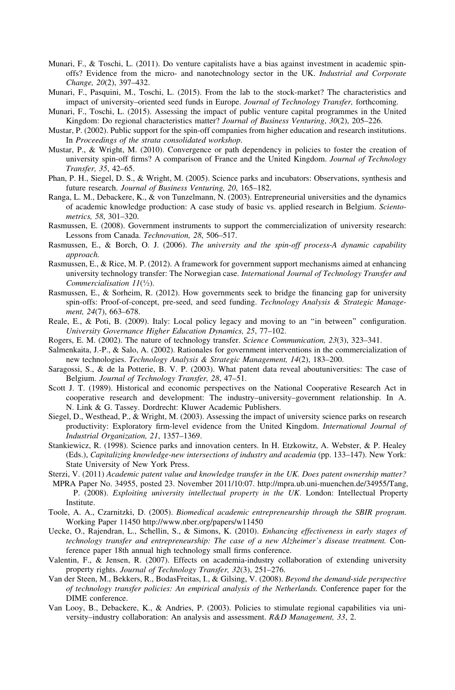- Munari, F., & Toschi, L. (2011). Do venture capitalists have a bias against investment in academic spinoffs? Evidence from the micro- and nanotechnology sector in the UK. Industrial and Corporate Change, 20(2), 397–432.
- Munari, F., Pasquini, M., Toschi, L. (2015). From the lab to the stock-market? The characteristics and impact of university–oriented seed funds in Europe. Journal of Technology Transfer, forthcoming.
- Munari, F., Toschi, L. (2015). Assessing the impact of public venture capital programmes in the United Kingdom: Do regional characteristics matter? Journal of Business Venturing, 30(2), 205–226.
- Mustar, P. (2002). Public support for the spin-off companies from higher education and research institutions. In Proceedings of the strata consolidated workshop.
- Mustar, P., & Wright, M. (2010). Convergence or path dependency in policies to foster the creation of university spin-off firms? A comparison of France and the United Kingdom. Journal of Technology Transfer, 35, 42–65.
- Phan, P. H., Siegel, D. S., & Wright, M. (2005). Science parks and incubators: Observations, synthesis and future research. Journal of Business Venturing, 20, 165–182.
- Ranga, L. M., Debackere, K., & von Tunzelmann, N. (2003). Entrepreneurial universities and the dynamics of academic knowledge production: A case study of basic vs. applied research in Belgium. Scientometrics, 58, 301–320.
- Rasmussen, E. (2008). Government instruments to support the commercialization of university research: Lessons from Canada. Technovation, 28, 506–517.
- Rasmussen, E., & Borch, O. J. (2006). The university and the spin-off process-A dynamic capability approach.
- Rasmussen, E., & Rice, M. P. (2012). A framework for government support mechanisms aimed at enhancing university technology transfer: The Norwegian case. International Journal of Technology Transfer and Commercialisation  $11(\frac{1}{2})$ .
- Rasmussen, E., & Sorheim, R. (2012). How governments seek to bridge the financing gap for university spin-offs: Proof-of-concept, pre-seed, and seed funding. Technology Analysis & Strategic Management, 24(7), 663–678.
- Reale, E., & Poti, B. (2009). Italy: Local policy legacy and moving to an ''in between'' configuration. University Governance Higher Education Dynamics, 25, 77–102.
- Rogers, E. M. (2002). The nature of technology transfer. Science Communication, 23(3), 323–341.
- Salmenkaita, J.-P., & Salo, A. (2002). Rationales for government interventions in the commercialization of new technologies. Technology Analysis & Strategic Management, 14(2), 183–200.
- Saragossi, S., & de la Potterie, B. V. P. (2003). What patent data reveal aboutuniversities: The case of Belgium. Journal of Technology Transfer, 28, 47–51.
- Scott J. T. (1989). Historical and economic perspectives on the National Cooperative Research Act in cooperative research and development: The industry–university–government relationship. In A. N. Link & G. Tassey. Dordrecht: Kluwer Academic Publishers.
- Siegel, D., Westhead, P., & Wright, M. (2003). Assessing the impact of university science parks on research productivity: Exploratory firm-level evidence from the United Kingdom. International Journal of Industrial Organization, 21, 1357–1369.
- Stankiewicz, R. (1998). Science parks and innovation centers. In H. Etzkowitz, A. Webster, & P. Healey (Eds.), Capitalizing knowledge-new intersections of industry and academia (pp. 133–147). New York: State University of New York Press.
- Sterzi, V. (2011) Academic patent value and knowledge transfer in the UK. Does patent ownership matter? MPRA Paper No. 34955, posted 23. November 2011/10:07. http://mpra.ub.uni-muenchen.de/34955/Tang,
- P. (2008). Exploiting university intellectual property in the UK. London: Intellectual Property Institute.
- Toole, A. A., Czarnitzki, D. (2005). Biomedical academic entrepreneurship through the SBIR program. Working Paper 11450 http://www.nber.org/papers/w11450
- Uecke, O., Rajendran, L., Schellin, S., & Simons, K. (2010). Enhancing effectiveness in early stages of technology transfer and entrepreneurship: The case of a new Alzheimer's disease treatment. Conference paper 18th annual high technology small firms conference.
- Valentin, F., & Jensen, R. (2007). Effects on academia-industry collaboration of extending university property rights. Journal of Technology Transfer, 32(3), 251–276.
- Van der Steen, M., Bekkers, R., BodasFreitas, I., & Gilsing, V. (2008). Beyond the demand-side perspective of technology transfer policies: An empirical analysis of the Netherlands. Conference paper for the DIME conference.
- Van Looy, B., Debackere, K., & Andries, P. (2003). Policies to stimulate regional capabilities via university–industry collaboration: An analysis and assessment. R&D Management, 33, 2.